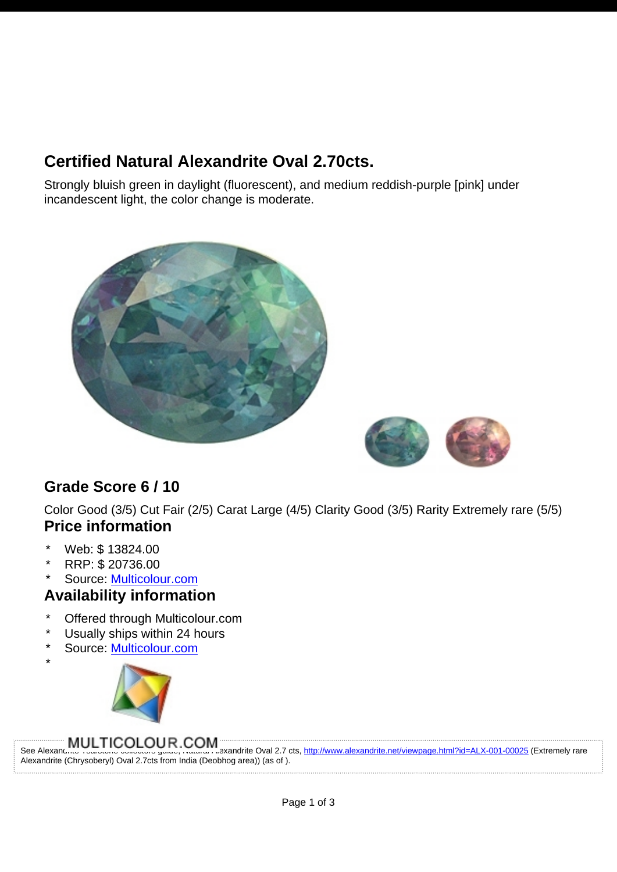# **Certified Natural Alexandrite Oval 2.70cts.**

Strongly bluish green in daylight (fluorescent), and medium reddish-purple [pink] under incandescent light, the color change is moderate.





## **Grade Score 6 / 10**

Color Good (3/5) Cut Fair (2/5) Carat Large (4/5) Clarity Good (3/5) Rarity Extremely rare (5/5) **Price information**

- Web: \$ 13824.00
- \* RRP: \$ 20736.00

\*

Source: [Multicolour.com](http://www.alexandrite.net/directory/gemstone-dealers/multicolour-gems-wdd-003-00001.html)

### **Availability information**

- Offered through Multicolour.com
- Usually ships within 24 hours
- Source: [Multicolour.com](http://www.alexandrite.net/directory/gemstone-dealers/multicolour-gems-wdd-003-00001.html)



See Alexandrite TSARSTONE COM THE TSARSTONE COM ALEXANDRITE OVALUST COLLECTORS GUIDELLE TRANSFORMED TO SARSTON<br>See Alexandrite Transformed To Collectors guidely reason created the Oval 2.7 cts, http://www.alexandrite.net/v Alexandrite (Chrysoberyl) Oval 2.7cts from India (Deobhog area)) (as of ).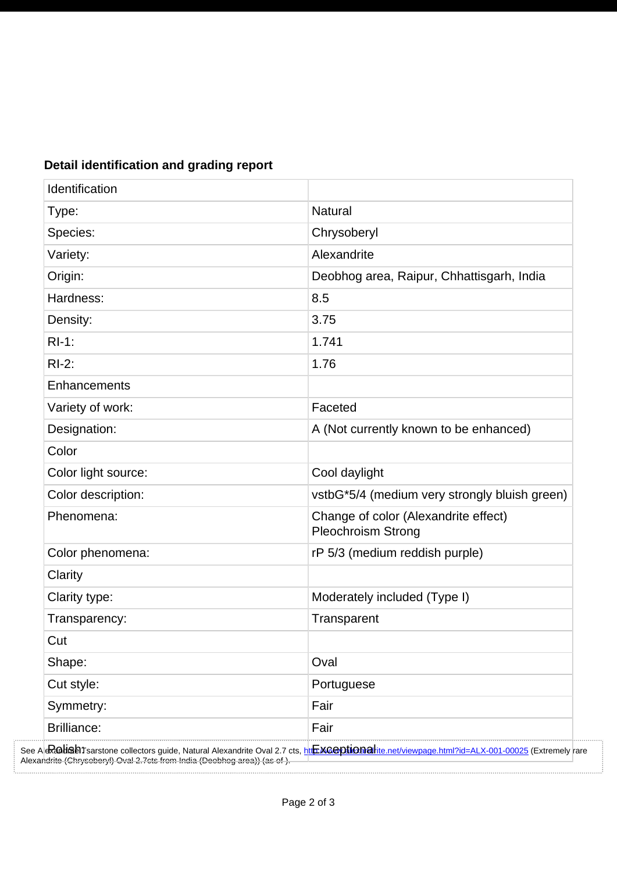| Identification      |                                                                   |
|---------------------|-------------------------------------------------------------------|
| Type:               | Natural                                                           |
| Species:            | Chrysoberyl                                                       |
| Variety:            | Alexandrite                                                       |
| Origin:             | Deobhog area, Raipur, Chhattisgarh, India                         |
| Hardness:           | 8.5                                                               |
| Density:            | 3.75                                                              |
| $RI-1$ :            | 1.741                                                             |
| $RI-2$ :            | 1.76                                                              |
| Enhancements        |                                                                   |
| Variety of work:    | Faceted                                                           |
| Designation:        | A (Not currently known to be enhanced)                            |
| Color               |                                                                   |
| Color light source: | Cool daylight                                                     |
| Color description:  | vstbG*5/4 (medium very strongly bluish green)                     |
| Phenomena:          | Change of color (Alexandrite effect)<br><b>Pleochroism Strong</b> |
| Color phenomena:    | rP 5/3 (medium reddish purple)                                    |
| Clarity             |                                                                   |
| Clarity type:       | Moderately included (Type I)                                      |
| Transparency:       | Transparent                                                       |
| Cut                 |                                                                   |
| Shape:              | Oval                                                              |
| Cut style:          | Portuguese                                                        |
| Symmetry:           | Fair                                                              |
| <b>Brilliance:</b>  | Fair                                                              |

### **Detail identification and grading report**

. . . . . . . . . . .